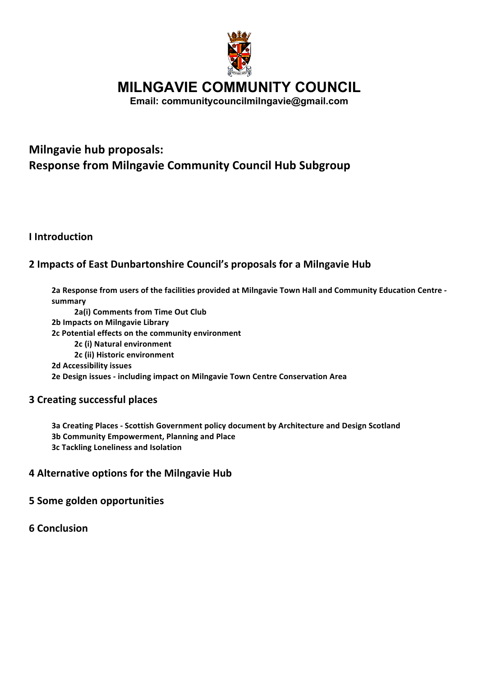

**MILNGAVIE COMMUNITY COUNCIL**

**Email: communitycouncilmilngavie@gmail.com**

# **Milngavie hub proposals: Response from Milngavie Community Council Hub Subgroup**

**I** Introduction

## **2 Impacts of East Dunbartonshire Council's proposals for a Milngavie Hub**

2a Response from users of the facilities provided at Milngavie Town Hall and Community Education Centre **summary 2a(i) Comments from Time Out Club 2b Impacts on Milngavie Library 2c Potential effects on the community environment 2c (i) Natural environment 2c (ii) Historic environment 2d Accessibility issues 2e Design issues - including impact on Milngavie Town Centre Conservation Area** 

### **3 Creating successful places**

**3a Creating Places - Scottish Government policy document by Architecture and Design Scotland 3b Community Empowerment, Planning and Place 3c Tackling Loneliness and Isolation**

### **4 Alternative options for the Milngavie Hub**

**5 Some golden opportunities** 

**6 Conclusion**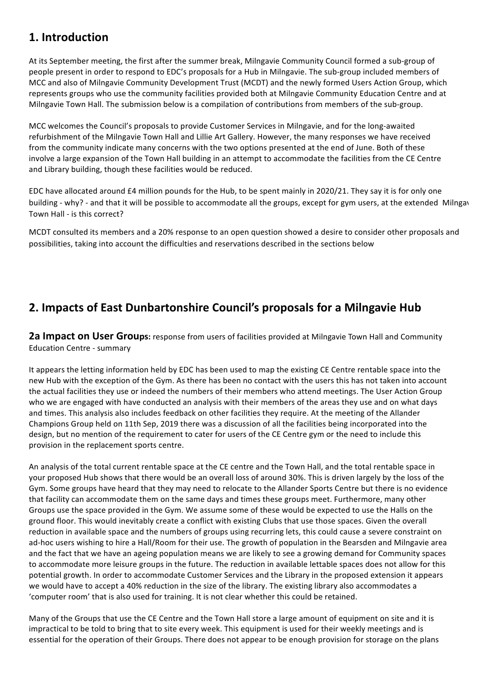## **1. Introduction**

At its September meeting, the first after the summer break, Milngavie Community Council formed a sub-group of people present in order to respond to EDC's proposals for a Hub in Milngavie. The sub-group included members of MCC and also of Milngavie Community Development Trust (MCDT) and the newly formed Users Action Group, which represents groups who use the community facilities provided both at Milngavie Community Education Centre and at Milngavie Town Hall. The submission below is a compilation of contributions from members of the sub-group.

MCC welcomes the Council's proposals to provide Customer Services in Milngavie, and for the long-awaited refurbishment of the Milngavie Town Hall and Lillie Art Gallery. However, the many responses we have received from the community indicate many concerns with the two options presented at the end of June. Both of these involve a large expansion of the Town Hall building in an attempt to accommodate the facilities from the CE Centre and Library building, though these facilities would be reduced.

EDC have allocated around  $£4$  million pounds for the Hub, to be spent mainly in 2020/21. They say it is for only one building - why? - and that it will be possible to accommodate all the groups, except for gym users, at the extended Milngav Town Hall - is this correct?

MCDT consulted its members and a 20% response to an open question showed a desire to consider other proposals and possibilities, taking into account the difficulties and reservations described in the sections below

# **2. Impacts of East Dunbartonshire Council's proposals for a Milngavie Hub**

**2a Impact on User Groups:** response from users of facilities provided at Milngavie Town Hall and Community Education Centre - summary

It appears the letting information held by EDC has been used to map the existing CE Centre rentable space into the new Hub with the exception of the Gym. As there has been no contact with the users this has not taken into account the actual facilities they use or indeed the numbers of their members who attend meetings. The User Action Group who we are engaged with have conducted an analysis with their members of the areas they use and on what days and times. This analysis also includes feedback on other facilities they require. At the meeting of the Allander Champions Group held on 11th Sep, 2019 there was a discussion of all the facilities being incorporated into the design, but no mention of the requirement to cater for users of the CE Centre gym or the need to include this provision in the replacement sports centre.

An analysis of the total current rentable space at the CE centre and the Town Hall, and the total rentable space in your proposed Hub shows that there would be an overall loss of around 30%. This is driven largely by the loss of the Gym. Some groups have heard that they may need to relocate to the Allander Sports Centre but there is no evidence that facility can accommodate them on the same days and times these groups meet. Furthermore, many other Groups use the space provided in the Gym. We assume some of these would be expected to use the Halls on the ground floor. This would inevitably create a conflict with existing Clubs that use those spaces. Given the overall reduction in available space and the numbers of groups using recurring lets, this could cause a severe constraint on ad-hoc users wishing to hire a Hall/Room for their use. The growth of population in the Bearsden and Milngavie area and the fact that we have an ageing population means we are likely to see a growing demand for Community spaces to accommodate more leisure groups in the future. The reduction in available lettable spaces does not allow for this potential growth. In order to accommodate Customer Services and the Library in the proposed extension it appears we would have to accept a 40% reduction in the size of the library. The existing library also accommodates a 'computer room' that is also used for training. It is not clear whether this could be retained.

Many of the Groups that use the CE Centre and the Town Hall store a large amount of equipment on site and it is impractical to be told to bring that to site every week. This equipment is used for their weekly meetings and is essential for the operation of their Groups. There does not appear to be enough provision for storage on the plans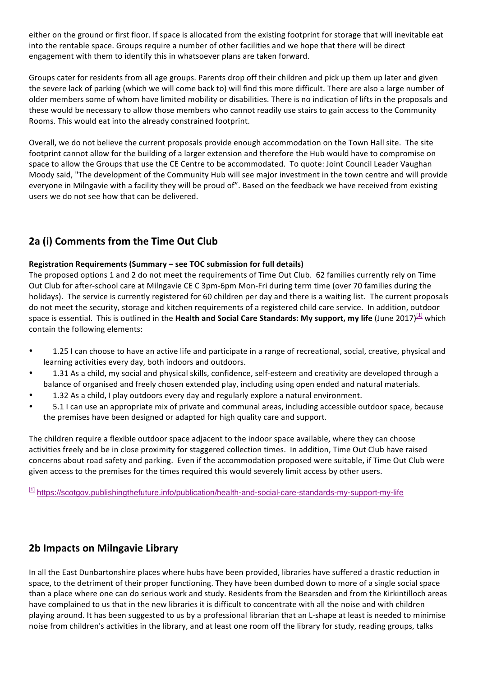either on the ground or first floor. If space is allocated from the existing footprint for storage that will inevitable eat into the rentable space. Groups require a number of other facilities and we hope that there will be direct engagement with them to identify this in whatsoever plans are taken forward.

Groups cater for residents from all age groups. Parents drop off their children and pick up them up later and given the severe lack of parking (which we will come back to) will find this more difficult. There are also a large number of older members some of whom have limited mobility or disabilities. There is no indication of lifts in the proposals and these would be necessary to allow those members who cannot readily use stairs to gain access to the Community Rooms. This would eat into the already constrained footprint.

Overall, we do not believe the current proposals provide enough accommodation on the Town Hall site. The site footprint cannot allow for the building of a larger extension and therefore the Hub would have to compromise on space to allow the Groups that use the CE Centre to be accommodated. To quote: Joint Council Leader Vaughan Moody said, "The development of the Community Hub will see major investment in the town centre and will provide everyone in Milngavie with a facility they will be proud of". Based on the feedback we have received from existing users we do not see how that can be delivered.

## **2a (i) Comments from the Time Out Club**

#### **Registration Requirements (Summary – see TOC submission for full details)**

The proposed options 1 and 2 do not meet the requirements of Time Out Club. 62 families currently rely on Time Out Club for after-school care at Milngavie CE C 3pm-6pm Mon-Fri during term time (over 70 families during the holidays). The service is currently registered for 60 children per day and there is a waiting list. The current proposals do not meet the security, storage and kitchen requirements of a registered child care service. In addition, outdoor space is essential. This is outlined in the **Health and Social Care Standards: My support, my life** (June 2017)<sup>[1]</sup> which contain the following elements:

- 1.25 I can choose to have an active life and participate in a range of recreational, social, creative, physical and learning activities every day, both indoors and outdoors.
- 1.31 As a child, my social and physical skills, confidence, self-esteem and creativity are developed through a balance of organised and freely chosen extended play, including using open ended and natural materials.
- 1.32 As a child, I play outdoors every day and regularly explore a natural environment.
- 5.1 I can use an appropriate mix of private and communal areas, including accessible outdoor space, because the premises have been designed or adapted for high quality care and support.

The children require a flexible outdoor space adjacent to the indoor space available, where they can choose activities freely and be in close proximity for staggered collection times. In addition, Time Out Club have raised concerns about road safety and parking. Even if the accommodation proposed were suitable, if Time Out Club were given access to the premises for the times required this would severely limit access by other users.

[1] https://scotgov.publishingthefuture.info/publication/health-and-social-care-standards-my-support-my-life

## **2b Impacts on Milngavie Library**

In all the East Dunbartonshire places where hubs have been provided, libraries have suffered a drastic reduction in space, to the detriment of their proper functioning. They have been dumbed down to more of a single social space than a place where one can do serious work and study. Residents from the Bearsden and from the Kirkintilloch areas have complained to us that in the new libraries it is difficult to concentrate with all the noise and with children playing around. It has been suggested to us by a professional librarian that an L-shape at least is needed to minimise noise from children's activities in the library, and at least one room off the library for study, reading groups, talks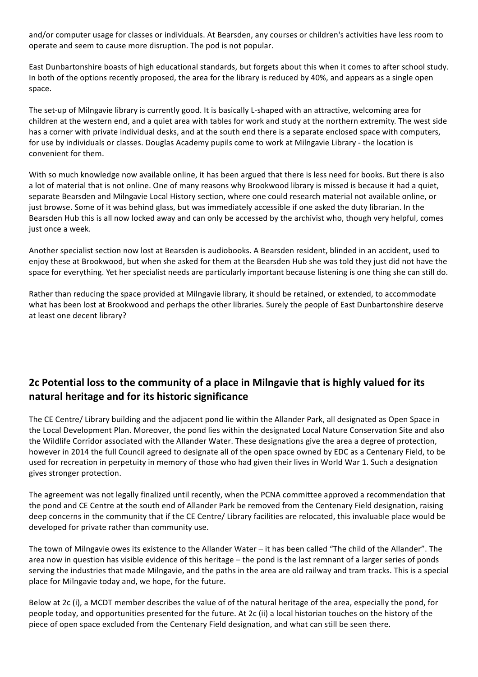and/or computer usage for classes or individuals. At Bearsden, any courses or children's activities have less room to operate and seem to cause more disruption. The pod is not popular.

East Dunbartonshire boasts of high educational standards, but forgets about this when it comes to after school study. In both of the options recently proposed, the area for the library is reduced by 40%, and appears as a single open space. 

The set-up of Milngavie library is currently good. It is basically L-shaped with an attractive, welcoming area for children at the western end, and a quiet area with tables for work and study at the northern extremity. The west side has a corner with private individual desks, and at the south end there is a separate enclosed space with computers, for use by individuals or classes. Douglas Academy pupils come to work at Milngavie Library - the location is convenient for them.

With so much knowledge now available online, it has been argued that there is less need for books. But there is also a lot of material that is not online. One of many reasons why Brookwood library is missed is because it had a quiet, separate Bearsden and Milngavie Local History section, where one could research material not available online, or just browse. Some of it was behind glass, but was immediately accessible if one asked the duty librarian. In the Bearsden Hub this is all now locked away and can only be accessed by the archivist who, though very helpful, comes just once a week.

Another specialist section now lost at Bearsden is audiobooks. A Bearsden resident, blinded in an accident, used to enjoy these at Brookwood, but when she asked for them at the Bearsden Hub she was told they just did not have the space for everything. Yet her specialist needs are particularly important because listening is one thing she can still do.

Rather than reducing the space provided at Milngavie library, it should be retained, or extended, to accommodate what has been lost at Brookwood and perhaps the other libraries. Surely the people of East Dunbartonshire deserve at least one decent library?

### **2c** Potential loss to the community of a place in Milngavie that is highly valued for its **natural heritage and for its historic significance**

The CE Centre/ Library building and the adjacent pond lie within the Allander Park, all designated as Open Space in the Local Development Plan. Moreover, the pond lies within the designated Local Nature Conservation Site and also the Wildlife Corridor associated with the Allander Water. These designations give the area a degree of protection, however in 2014 the full Council agreed to designate all of the open space owned by EDC as a Centenary Field, to be used for recreation in perpetuity in memory of those who had given their lives in World War 1. Such a designation gives stronger protection.

The agreement was not legally finalized until recently, when the PCNA committee approved a recommendation that the pond and CE Centre at the south end of Allander Park be removed from the Centenary Field designation, raising deep concerns in the community that if the CE Centre/ Library facilities are relocated, this invaluable place would be developed for private rather than community use.

The town of Milngavie owes its existence to the Allander Water – it has been called "The child of the Allander". The area now in question has visible evidence of this heritage – the pond is the last remnant of a larger series of ponds serving the industries that made Milngavie, and the paths in the area are old railway and tram tracks. This is a special place for Milngavie today and, we hope, for the future.

Below at 2c (i), a MCDT member describes the value of of the natural heritage of the area, especially the pond, for people today, and opportunities presented for the future. At 2c (ii) a local historian touches on the history of the piece of open space excluded from the Centenary Field designation, and what can still be seen there.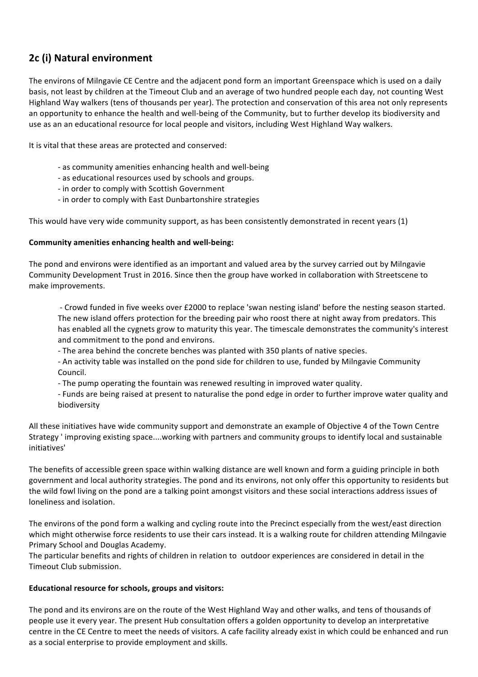## **2c (i) Natural environment**

The environs of Milngavie CE Centre and the adjacent pond form an important Greenspace which is used on a daily basis, not least by children at the Timeout Club and an average of two hundred people each day, not counting West Highland Way walkers (tens of thousands per year). The protection and conservation of this area not only represents an opportunity to enhance the health and well-being of the Community, but to further develop its biodiversity and use as an an educational resource for local people and visitors, including West Highland Way walkers.

It is vital that these areas are protected and conserved:

- as community amenities enhancing health and well-being
- as educational resources used by schools and groups.
- in order to comply with Scottish Government
- in order to comply with East Dunbartonshire strategies

This would have very wide community support, as has been consistently demonstrated in recent years  $(1)$ 

#### **Community amenities enhancing health and well-being:**

The pond and environs were identified as an important and valued area by the survey carried out by Milngavie Community Development Trust in 2016. Since then the group have worked in collaboration with Streetscene to make improvements.

- Crowd funded in five weeks over £2000 to replace 'swan nesting island' before the nesting season started. The new island offers protection for the breeding pair who roost there at night away from predators. This has enabled all the cygnets grow to maturity this year. The timescale demonstrates the community's interest and commitment to the pond and environs.

- The area behind the concrete benches was planted with 350 plants of native species.
- An activity table was installed on the pond side for children to use, funded by Milngavie Community Council.
- The pump operating the fountain was renewed resulting in improved water quality.
- Funds are being raised at present to naturalise the pond edge in order to further improve water quality and biodiversity

All these initiatives have wide community support and demonstrate an example of Objective 4 of the Town Centre Strategy ' improving existing space....working with partners and community groups to identify local and sustainable initiatives'

The benefits of accessible green space within walking distance are well known and form a guiding principle in both government and local authority strategies. The pond and its environs, not only offer this opportunity to residents but the wild fowl living on the pond are a talking point amongst visitors and these social interactions address issues of loneliness and isolation.

The environs of the pond form a walking and cycling route into the Precinct especially from the west/east direction which might otherwise force residents to use their cars instead. It is a walking route for children attending Milngavie Primary School and Douglas Academy.

The particular benefits and rights of children in relation to outdoor experiences are considered in detail in the Timeout Club submission.

#### Educational resource for schools, groups and visitors:

The pond and its environs are on the route of the West Highland Way and other walks, and tens of thousands of people use it every year. The present Hub consultation offers a golden opportunity to develop an interpretative centre in the CE Centre to meet the needs of visitors. A cafe facility already exist in which could be enhanced and run as a social enterprise to provide employment and skills.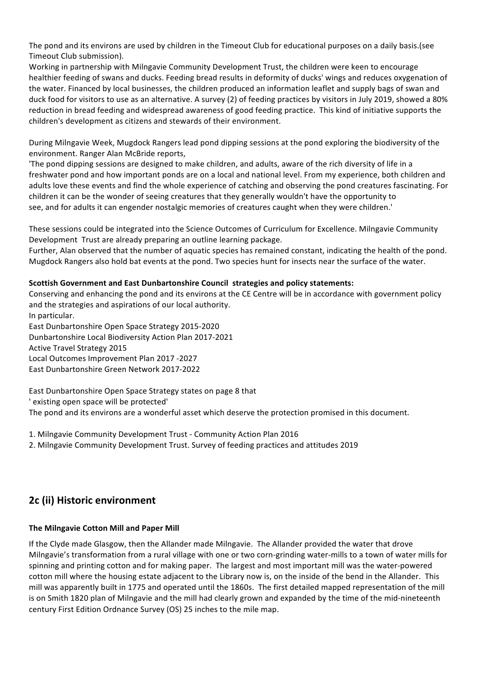The pond and its environs are used by children in the Timeout Club for educational purposes on a daily basis.(see Timeout Club submission).

Working in partnership with Milngavie Community Development Trust, the children were keen to encourage healthier feeding of swans and ducks. Feeding bread results in deformity of ducks' wings and reduces oxygenation of the water. Financed by local businesses, the children produced an information leaflet and supply bags of swan and duck food for visitors to use as an alternative. A survey (2) of feeding practices by visitors in July 2019, showed a 80% reduction in bread feeding and widespread awareness of good feeding practice. This kind of initiative supports the children's development as citizens and stewards of their environment.

During Milngavie Week, Mugdock Rangers lead pond dipping sessions at the pond exploring the biodiversity of the environment. Ranger Alan McBride reports,

'The pond dipping sessions are designed to make children, and adults, aware of the rich diversity of life in a freshwater pond and how important ponds are on a local and national level. From my experience, both children and adults love these events and find the whole experience of catching and observing the pond creatures fascinating. For children it can be the wonder of seeing creatures that they generally wouldn't have the opportunity to see, and for adults it can engender nostalgic memories of creatures caught when they were children.'

These sessions could be integrated into the Science Outcomes of Curriculum for Excellence. Milngavie Community Development Trust are already preparing an outline learning package.

Further, Alan observed that the number of aquatic species has remained constant, indicating the health of the pond. Mugdock Rangers also hold bat events at the pond. Two species hunt for insects near the surface of the water.

#### **Scottish Government and East Dunbartonshire Council strategies and policy statements:**

Conserving and enhancing the pond and its environs at the CE Centre will be in accordance with government policy and the strategies and aspirations of our local authority.

In particular. East Dunbartonshire Open Space Strategy 2015-2020 Dunbartonshire Local Biodiversity Action Plan 2017-2021 Active Travel Strategy 2015 Local Outcomes Improvement Plan 2017 -2027 East Dunbartonshire Green Network 2017-2022

East Dunbartonshire Open Space Strategy states on page 8 that ' existing open space will be protected' The pond and its environs are a wonderful asset which deserve the protection promised in this document.

1. Milngavie Community Development Trust - Community Action Plan 2016

2. Milngavie Community Development Trust. Survey of feeding practices and attitudes 2019

### **2c (ii) Historic environment**

#### **The Milngavie Cotton Mill and Paper Mill**

If the Clyde made Glasgow, then the Allander made Milngavie. The Allander provided the water that drove Milngavie's transformation from a rural village with one or two corn-grinding water-mills to a town of water mills for spinning and printing cotton and for making paper. The largest and most important mill was the water-powered cotton mill where the housing estate adjacent to the Library now is, on the inside of the bend in the Allander. This mill was apparently built in 1775 and operated until the 1860s. The first detailed mapped representation of the mill is on Smith 1820 plan of Milngavie and the mill had clearly grown and expanded by the time of the mid-nineteenth century First Edition Ordnance Survey (OS) 25 inches to the mile map.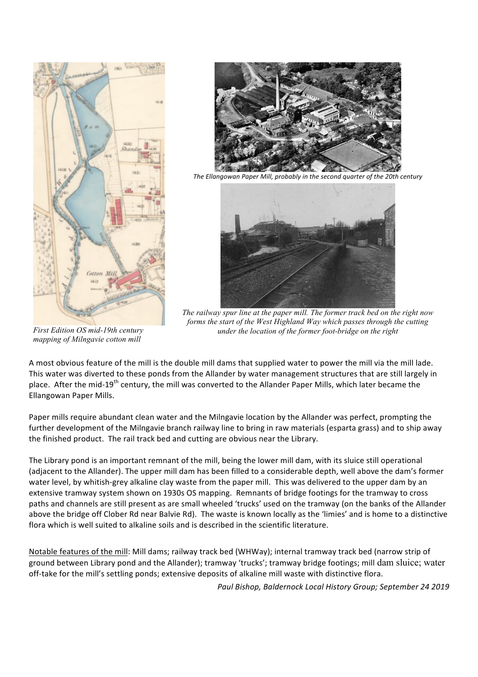



The Ellangowan Paper Mill, probably in the second quarter of the 20th century



*The railway spur line at the paper mill. The former track bed on the right now forms the start of the West Highland Way which passes through the cutting under the location of the former foot-bridge on the right*

*First Edition OS mid-19th century mapping of Milngavie cotton mill*

A most obvious feature of the mill is the double mill dams that supplied water to power the mill via the mill lade. This water was diverted to these ponds from the Allander by water management structures that are still largely in place. After the mid-19<sup>th</sup> century, the mill was converted to the Allander Paper Mills, which later became the Ellangowan Paper Mills.

Paper mills require abundant clean water and the Milngavie location by the Allander was perfect, prompting the further development of the Milngavie branch railway line to bring in raw materials (esparta grass) and to ship away the finished product. The rail track bed and cutting are obvious near the Library.

The Library pond is an important remnant of the mill, being the lower mill dam, with its sluice still operational (adiacent to the Allander). The upper mill dam has been filled to a considerable depth, well above the dam's former water level, by whitish-grey alkaline clay waste from the paper mill. This was delivered to the upper dam by an extensive tramway system shown on 1930s OS mapping. Remnants of bridge footings for the tramway to cross paths and channels are still present as are small wheeled 'trucks' used on the tramway (on the banks of the Allander above the bridge off Clober Rd near Balvie Rd). The waste is known locally as the 'limies' and is home to a distinctive flora which is well suited to alkaline soils and is described in the scientific literature.

Notable features of the mill: Mill dams; railway track bed (WHWay); internal tramway track bed (narrow strip of ground between Library pond and the Allander); tramway 'trucks'; tramway bridge footings; mill dam sluice; water off-take for the mill's settling ponds; extensive deposits of alkaline mill waste with distinctive flora.

Paul Bishop, Baldernock Local History Group; September 24 2019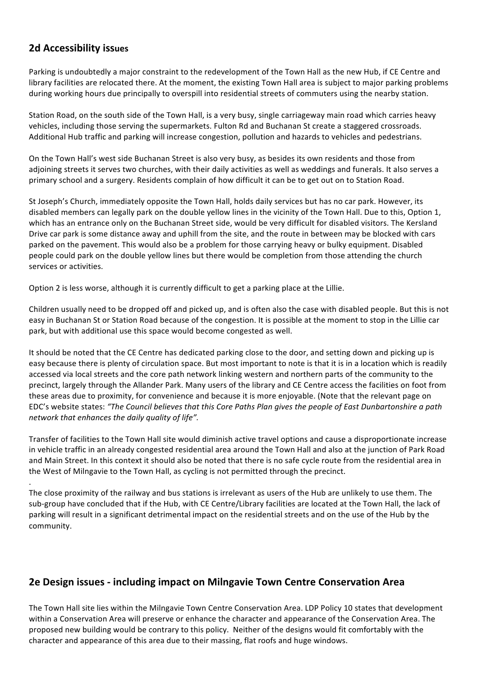### **2d Accessibility issues**

.

Parking is undoubtedly a major constraint to the redevelopment of the Town Hall as the new Hub, if CE Centre and library facilities are relocated there. At the moment, the existing Town Hall area is subject to major parking problems during working hours due principally to overspill into residential streets of commuters using the nearby station.

Station Road, on the south side of the Town Hall, is a very busy, single carriageway main road which carries heavy vehicles, including those serving the supermarkets. Fulton Rd and Buchanan St create a staggered crossroads. Additional Hub traffic and parking will increase congestion, pollution and hazards to vehicles and pedestrians.

On the Town Hall's west side Buchanan Street is also very busy, as besides its own residents and those from adjoining streets it serves two churches, with their daily activities as well as weddings and funerals. It also serves a primary school and a surgery. Residents complain of how difficult it can be to get out on to Station Road.

St Joseph's Church, immediately opposite the Town Hall, holds daily services but has no car park. However, its disabled members can legally park on the double yellow lines in the vicinity of the Town Hall. Due to this, Option 1, which has an entrance only on the Buchanan Street side, would be very difficult for disabled visitors. The Kersland Drive car park is some distance away and uphill from the site, and the route in between may be blocked with cars parked on the pavement. This would also be a problem for those carrying heavy or bulky equipment. Disabled people could park on the double yellow lines but there would be completion from those attending the church services or activities.

Option 2 is less worse, although it is currently difficult to get a parking place at the Lillie.

Children usually need to be dropped off and picked up, and is often also the case with disabled people. But this is not easy in Buchanan St or Station Road because of the congestion. It is possible at the moment to stop in the Lillie car park, but with additional use this space would become congested as well.

It should be noted that the CE Centre has dedicated parking close to the door, and setting down and picking up is easy because there is plenty of circulation space. But most important to note is that it is in a location which is readily accessed via local streets and the core path network linking western and northern parts of the community to the precinct, largely through the Allander Park. Many users of the library and CE Centre access the facilities on foot from these areas due to proximity, for convenience and because it is more enjoyable. (Note that the relevant page on EDC's website states: "The Council believes that this Core Paths Plan gives the people of East Dunbartonshire a path *network that enhances the daily quality of life".* 

Transfer of facilities to the Town Hall site would diminish active travel options and cause a disproportionate increase in vehicle traffic in an already congested residential area around the Town Hall and also at the junction of Park Road and Main Street. In this context it should also be noted that there is no safe cycle route from the residential area in the West of Milngavie to the Town Hall, as cycling is not permitted through the precinct.

The close proximity of the railway and bus stations is irrelevant as users of the Hub are unlikely to use them. The sub-group have concluded that if the Hub, with CE Centre/Library facilities are located at the Town Hall, the lack of parking will result in a significant detrimental impact on the residential streets and on the use of the Hub by the community.

### **2e Design issues - including impact on Milngavie Town Centre Conservation Area**

The Town Hall site lies within the Milngavie Town Centre Conservation Area. LDP Policy 10 states that development within a Conservation Area will preserve or enhance the character and appearance of the Conservation Area. The proposed new building would be contrary to this policy. Neither of the designs would fit comfortably with the character and appearance of this area due to their massing, flat roofs and huge windows.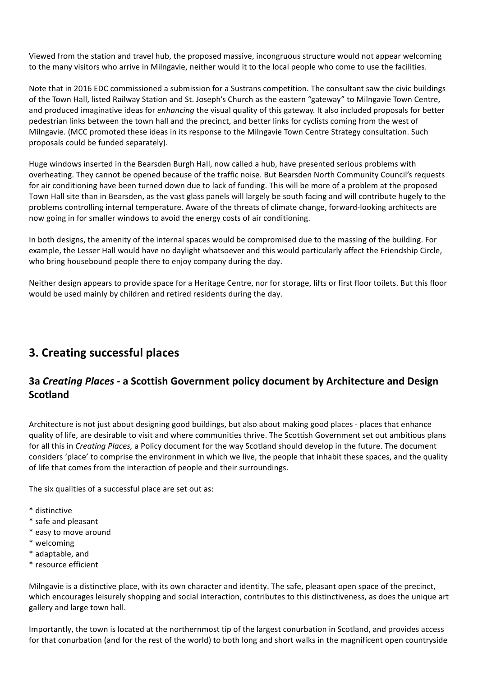Viewed from the station and travel hub, the proposed massive, incongruous structure would not appear welcoming to the many visitors who arrive in Milngavie, neither would it to the local people who come to use the facilities.

Note that in 2016 EDC commissioned a submission for a Sustrans competition. The consultant saw the civic buildings of the Town Hall, listed Railway Station and St. Joseph's Church as the eastern "gateway" to Milngavie Town Centre, and produced imaginative ideas for *enhancing* the visual quality of this gateway. It also included proposals for better pedestrian links between the town hall and the precinct, and better links for cyclists coming from the west of Milngavie. (MCC promoted these ideas in its response to the Milngavie Town Centre Strategy consultation. Such proposals could be funded separately).

Huge windows inserted in the Bearsden Burgh Hall, now called a hub, have presented serious problems with overheating. They cannot be opened because of the traffic noise. But Bearsden North Community Council's requests for air conditioning have been turned down due to lack of funding. This will be more of a problem at the proposed Town Hall site than in Bearsden, as the vast glass panels will largely be south facing and will contribute hugely to the problems controlling internal temperature. Aware of the threats of climate change, forward-looking architects are now going in for smaller windows to avoid the energy costs of air conditioning.

In both designs, the amenity of the internal spaces would be compromised due to the massing of the building. For example, the Lesser Hall would have no daylight whatsoever and this would particularly affect the Friendship Circle, who bring housebound people there to enjoy company during the day.

Neither design appears to provide space for a Heritage Centre, nor for storage, lifts or first floor toilets. But this floor would be used mainly by children and retired residents during the day.

# **3. Creating successful places**

## **3a Creating Places - a Scottish Government policy document by Architecture and Design Scotland**

Architecture is not just about designing good buildings, but also about making good places - places that enhance quality of life, are desirable to visit and where communities thrive. The Scottish Government set out ambitious plans for all this in *Creating Places*, a Policy document for the way Scotland should develop in the future. The document considers 'place' to comprise the environment in which we live, the people that inhabit these spaces, and the quality of life that comes from the interaction of people and their surroundings.

The six qualities of a successful place are set out as:

- \* distinctive
- \* safe and pleasant
- \* easy to move around
- \* welcoming
- \* adaptable, and
- \* resource efficient

Milngavie is a distinctive place, with its own character and identity. The safe, pleasant open space of the precinct, which encourages leisurely shopping and social interaction, contributes to this distinctiveness, as does the unique art gallery and large town hall.

Importantly, the town is located at the northernmost tip of the largest conurbation in Scotland, and provides access for that conurbation (and for the rest of the world) to both long and short walks in the magnificent open countryside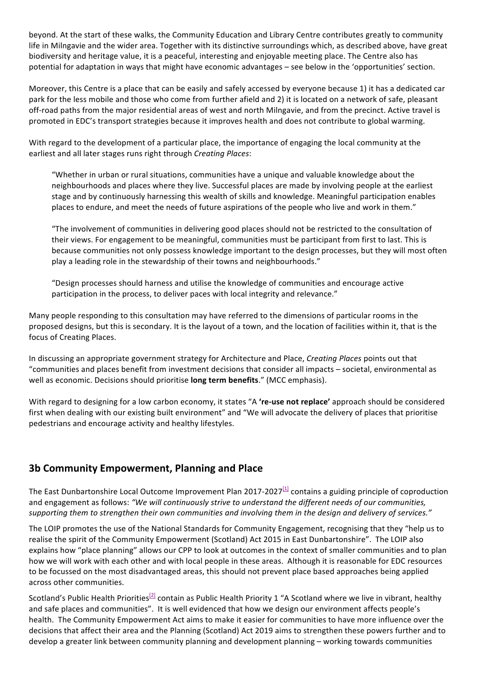beyond. At the start of these walks, the Community Education and Library Centre contributes greatly to community life in Milngavie and the wider area. Together with its distinctive surroundings which, as described above, have great biodiversity and heritage value, it is a peaceful, interesting and enjoyable meeting place. The Centre also has potential for adaptation in ways that might have economic advantages – see below in the 'opportunities' section.

Moreover, this Centre is a place that can be easily and safely accessed by everyone because 1) it has a dedicated car park for the less mobile and those who come from further afield and 2) it is located on a network of safe, pleasant off-road paths from the major residential areas of west and north Milngavie, and from the precinct. Active travel is promoted in EDC's transport strategies because it improves health and does not contribute to global warming.

With regard to the development of a particular place, the importance of engaging the local community at the earliest and all later stages runs right through *Creating Places*:

"Whether in urban or rural situations, communities have a unique and valuable knowledge about the neighbourhoods and places where they live. Successful places are made by involving people at the earliest stage and by continuously harnessing this wealth of skills and knowledge. Meaningful participation enables places to endure, and meet the needs of future aspirations of the people who live and work in them."

"The involvement of communities in delivering good places should not be restricted to the consultation of their views. For engagement to be meaningful, communities must be participant from first to last. This is because communities not only possess knowledge important to the design processes, but they will most often play a leading role in the stewardship of their towns and neighbourhoods."

"Design processes should harness and utilise the knowledge of communities and encourage active participation in the process, to deliver paces with local integrity and relevance."

Many people responding to this consultation may have referred to the dimensions of particular rooms in the proposed designs, but this is secondary. It is the layout of a town, and the location of facilities within it, that is the focus of Creating Places.

In discussing an appropriate government strategy for Architecture and Place, *Creating Places* points out that "communities and places benefit from investment decisions that consider all impacts - societal, environmental as well as economic. Decisions should prioritise **long term benefits**." (MCC emphasis).

With regard to designing for a low carbon economy, it states "A 're-use not replace' approach should be considered first when dealing with our existing built environment" and "We will advocate the delivery of places that prioritise pedestrians and encourage activity and healthy lifestyles.

### **3b Community Empowerment, Planning and Place**

The East Dunbartonshire Local Outcome Improvement Plan 2017-2027 $[1]$  contains a guiding principle of coproduction and engagement as follows: "We will continuously strive to understand the different needs of our communities, supporting them to strengthen their own communities and involving them in the design and delivery of services."

The LOIP promotes the use of the National Standards for Community Engagement, recognising that they "help us to realise the spirit of the Community Empowerment (Scotland) Act 2015 in East Dunbartonshire". The LOIP also explains how "place planning" allows our CPP to look at outcomes in the context of smaller communities and to plan how we will work with each other and with local people in these areas. Although it is reasonable for EDC resources to be focussed on the most disadvantaged areas, this should not prevent place based approaches being applied across other communities.

Scotland's Public Health Priorities<sup>[2]</sup> contain as Public Health Priority 1 "A Scotland where we live in vibrant, healthy and safe places and communities". It is well evidenced that how we design our environment affects people's health. The Community Empowerment Act aims to make it easier for communities to have more influence over the decisions that affect their area and the Planning (Scotland) Act 2019 aims to strengthen these powers further and to develop a greater link between community planning and development planning - working towards communities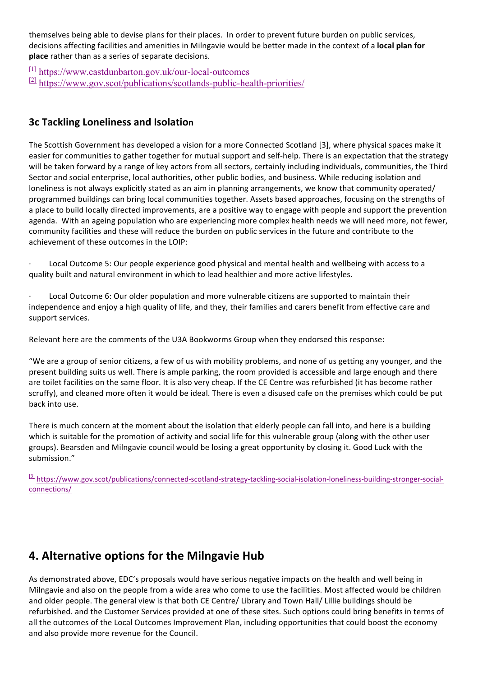themselves being able to devise plans for their places. In order to prevent future burden on public services, decisions affecting facilities and amenities in Milngavie would be better made in the context of a local plan for **place** rather than as a series of separate decisions.

 $\frac{[1]}{[1]}$  https://www.eastdunbarton.gov.uk/our-local-outcomes [2] https://www.gov.scot/publications/scotlands-public-health-priorities/

### **3c Tackling Loneliness and Isolation**

The Scottish Government has developed a vision for a more Connected Scotland [3], where physical spaces make it easier for communities to gather together for mutual support and self-help. There is an expectation that the strategy will be taken forward by a range of key actors from all sectors, certainly including individuals, communities, the Third Sector and social enterprise, local authorities, other public bodies, and business. While reducing isolation and loneliness is not always explicitly stated as an aim in planning arrangements, we know that community operated/ programmed buildings can bring local communities together. Assets based approaches, focusing on the strengths of a place to build locally directed improvements, are a positive way to engage with people and support the prevention agenda. With an ageing population who are experiencing more complex health needs we will need more, not fewer, community facilities and these will reduce the burden on public services in the future and contribute to the achievement of these outcomes in the LOIP:

Local Outcome 5: Our people experience good physical and mental health and wellbeing with access to a quality built and natural environment in which to lead healthier and more active lifestyles.

Local Outcome 6: Our older population and more vulnerable citizens are supported to maintain their independence and enjoy a high quality of life, and they, their families and carers benefit from effective care and support services.

Relevant here are the comments of the U3A Bookworms Group when they endorsed this response:

"We are a group of senior citizens, a few of us with mobility problems, and none of us getting any younger, and the present building suits us well. There is ample parking, the room provided is accessible and large enough and there are toilet facilities on the same floor. It is also very cheap. If the CE Centre was refurbished (it has become rather scruffy), and cleaned more often it would be ideal. There is even a disused cafe on the premises which could be put back into use.

There is much concern at the moment about the isolation that elderly people can fall into, and here is a building which is suitable for the promotion of activity and social life for this vulnerable group (along with the other user groups). Bearsden and Milngavie council would be losing a great opportunity by closing it. Good Luck with the submission."

[3] https://www.gov.scot/publications/connected-scotland-strategy-tackling-social-isolation-loneliness-building-stronger-socialconnections/

# **4. Alternative options for the Milngavie Hub**

As demonstrated above, EDC's proposals would have serious negative impacts on the health and well being in Milngavie and also on the people from a wide area who come to use the facilities. Most affected would be children and older people. The general view is that both CE Centre/ Library and Town Hall/ Lillie buildings should be refurbished, and the Customer Services provided at one of these sites. Such options could bring benefits in terms of all the outcomes of the Local Outcomes Improvement Plan, including opportunities that could boost the economy and also provide more revenue for the Council.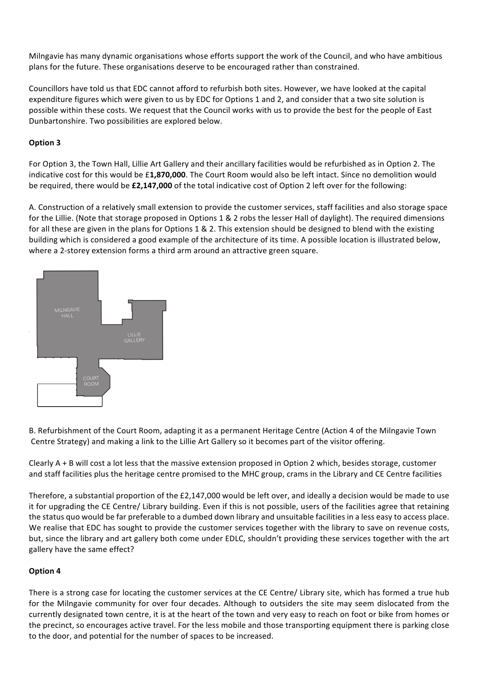Milngavie has many dynamic organisations whose efforts support the work of the Council, and who have ambitious plans for the future. These organisations deserve to be encouraged rather than constrained.

Councillors have told us that EDC cannot afford to refurbish both sites. However, we have looked at the capital expenditure figures which were given to us by EDC for Options 1 and 2, and consider that a two site solution is possible within these costs. We request that the Council works with us to provide the best for the people of East Dunbartonshire. Two possibilities are explored below.

#### **Option 3**

For Option 3, the Town Hall, Lillie Art Gallery and their ancillary facilities would be refurbished as in Option 2. The indicative cost for this would be £1,870,000. The Court Room would also be left intact. Since no demolition would be required, there would be £2,147,000 of the total indicative cost of Option 2 left over for the following:

A. Construction of a relatively small extension to provide the customer services, staff facilities and also storage space for the Lillie. (Note that storage proposed in Options 1 & 2 robs the lesser Hall of daylight). The required dimensions for all these are given in the plans for Options  $1 \& 2$ . This extension should be designed to blend with the existing building which is considered a good example of the architecture of its time. A possible location is illustrated below, where a 2-storey extension forms a third arm around an attractive green square.



B. Refurbishment of the Court Room, adapting it as a permanent Heritage Centre (Action 4 of the Milngavie Town Centre Strategy) and making a link to the Lillie Art Gallery so it becomes part of the visitor offering.

Clearly  $A + B$  will cost a lot less that the massive extension proposed in Option 2 which, besides storage, customer and staff facilities plus the heritage centre promised to the MHC group, crams in the Library and CE Centre facilities

Therefore, a substantial proportion of the  $£2,147,000$  would be left over, and ideally a decision would be made to use it for upgrading the CE Centre/ Library building. Even if this is not possible, users of the facilities agree that retaining the status quo would be far preferable to a dumbed down library and unsuitable facilities in a less easy to access place. We realise that EDC has sought to provide the customer services together with the library to save on revenue costs, but, since the library and art gallery both come under EDLC, shouldn't providing these services together with the art gallery have the same effect?

#### **Option 4**

There is a strong case for locating the customer services at the CE Centre/ Library site, which has formed a true hub for the Milngavie community for over four decades. Although to outsiders the site may seem dislocated from the currently designated town centre, it is at the heart of the town and very easy to reach on foot or bike from homes or the precinct, so encourages active travel. For the less mobile and those transporting equipment there is parking close to the door, and potential for the number of spaces to be increased.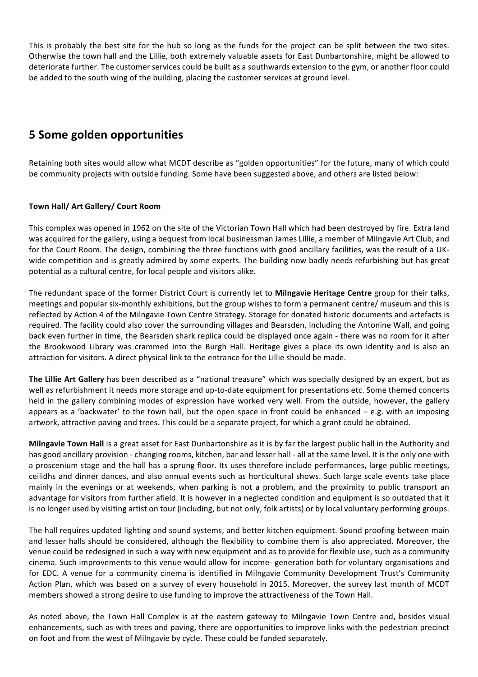This is probably the best site for the hub so long as the funds for the project can be split between the two sites. Otherwise the town hall and the Lillie, both extremely valuable assets for East Dunbartonshire, might be allowed to deteriorate further. The customer services could be built as a southwards extension to the gym, or another floor could be added to the south wing of the building, placing the customer services at ground level.

## **5 Some golden opportunities**

Retaining both sites would allow what MCDT describe as "golden opportunities" for the future, many of which could be community projects with outside funding. Some have been suggested above, and others are listed below:

#### **Town Hall/ Art Gallery/ Court Room**

This complex was opened in 1962 on the site of the Victorian Town Hall which had been destroyed by fire. Extra land was acquired for the gallery, using a bequest from local businessman James Lillie, a member of Milngavie Art Club, and for the Court Room. The design, combining the three functions with good ancillary facilities, was the result of a UKwide competition and is greatly admired by some experts. The building now badly needs refurbishing but has great potential as a cultural centre, for local people and visitors alike.

The redundant space of the former District Court is currently let to **Milngavie Heritage Centre** group for their talks, meetings and popular six-monthly exhibitions, but the group wishes to form a permanent centre/ museum and this is reflected by Action 4 of the Milngavie Town Centre Strategy. Storage for donated historic documents and artefacts is required. The facility could also cover the surrounding villages and Bearsden, including the Antonine Wall, and going back even further in time, the Bearsden shark replica could be displayed once again - there was no room for it after the Brookwood Library was crammed into the Burgh Hall. Heritage gives a place its own identity and is also an attraction for visitors. A direct physical link to the entrance for the Lillie should be made.

The Lillie Art Gallery has been described as a "national treasure" which was specially designed by an expert, but as well as refurbishment it needs more storage and up-to-date equipment for presentations etc. Some themed concerts held in the gallery combining modes of expression have worked very well. From the outside, however, the gallery appears as a 'backwater' to the town hall, but the open space in front could be enhanced  $- e.g.$  with an imposing artwork, attractive paving and trees. This could be a separate project, for which a grant could be obtained.

**Milngavie Town Hall** is a great asset for East Dunbartonshire as it is by far the largest public hall in the Authority and has good ancillary provision - changing rooms, kitchen, bar and lesser hall - all at the same level. It is the only one with a proscenium stage and the hall has a sprung floor. Its uses therefore include performances, large public meetings, ceilidhs and dinner dances, and also annual events such as horticultural shows. Such large scale events take place mainly in the evenings or at weekends, when parking is not a problem, and the proximity to public transport an advantage for visitors from further afield. It is however in a neglected condition and equipment is so outdated that it is no longer used by visiting artist on tour (including, but not only, folk artists) or by local voluntary performing groups.

The hall requires updated lighting and sound systems, and better kitchen equipment. Sound proofing between main and lesser halls should be considered, although the flexibility to combine them is also appreciated. Moreover, the venue could be redesigned in such a way with new equipment and as to provide for flexible use, such as a community cinema. Such improvements to this venue would allow for income- generation both for voluntary organisations and for EDC. A venue for a community cinema is identified in Milngavie Community Development Trust's Community Action Plan, which was based on a survey of every household in 2015. Moreover, the survey last month of MCDT members showed a strong desire to use funding to improve the attractiveness of the Town Hall.

As noted above, the Town Hall Complex is at the eastern gateway to Milngavie Town Centre and, besides visual enhancements, such as with trees and paving, there are opportunities to improve links with the pedestrian precinct on foot and from the west of Milngavie by cycle. These could be funded separately.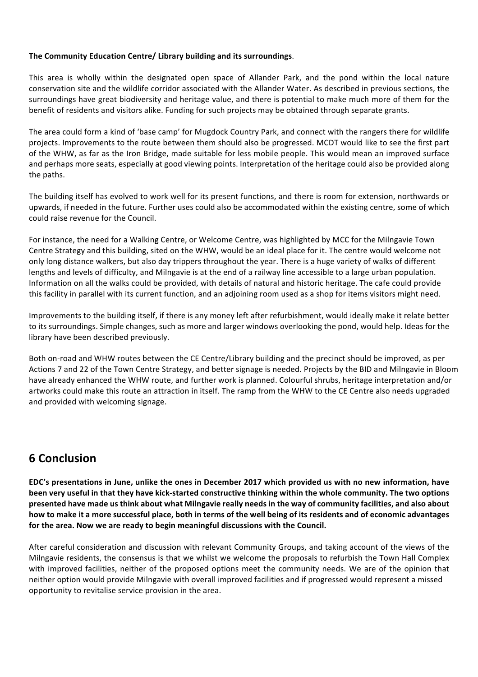#### The Community Education Centre/ Library building and its surroundings.

This area is wholly within the designated open space of Allander Park, and the pond within the local nature conservation site and the wildlife corridor associated with the Allander Water. As described in previous sections, the surroundings have great biodiversity and heritage value, and there is potential to make much more of them for the benefit of residents and visitors alike. Funding for such projects may be obtained through separate grants.

The area could form a kind of 'base camp' for Mugdock Country Park, and connect with the rangers there for wildlife projects. Improvements to the route between them should also be progressed. MCDT would like to see the first part of the WHW, as far as the Iron Bridge, made suitable for less mobile people. This would mean an improved surface and perhaps more seats, especially at good viewing points. Interpretation of the heritage could also be provided along the paths.

The building itself has evolved to work well for its present functions, and there is room for extension, northwards or upwards, if needed in the future. Further uses could also be accommodated within the existing centre, some of which could raise revenue for the Council.

For instance, the need for a Walking Centre, or Welcome Centre, was highlighted by MCC for the Milngavie Town Centre Strategy and this building, sited on the WHW, would be an ideal place for it. The centre would welcome not only long distance walkers, but also day trippers throughout the year. There is a huge variety of walks of different lengths and levels of difficulty, and Milngavie is at the end of a railway line accessible to a large urban population. Information on all the walks could be provided, with details of natural and historic heritage. The cafe could provide this facility in parallel with its current function, and an adjoining room used as a shop for items visitors might need.

Improvements to the building itself, if there is any money left after refurbishment, would ideally make it relate better to its surroundings. Simple changes, such as more and larger windows overlooking the pond, would help. Ideas for the library have been described previously.

Both on-road and WHW routes between the CE Centre/Library building and the precinct should be improved, as per Actions 7 and 22 of the Town Centre Strategy, and better signage is needed. Projects by the BID and Milngavie in Bloom have already enhanced the WHW route, and further work is planned. Colourful shrubs, heritage interpretation and/or artworks could make this route an attraction in itself. The ramp from the WHW to the CE Centre also needs upgraded and provided with welcoming signage.

## **6 Conclusion**

**EDC's** presentations in June, unlike the ones in December 2017 which provided us with no new information, have been very useful in that they have kick-started constructive thinking within the whole community. The two options **presented have made us think about what Milngavie really needs in the way of community facilities, and also about** how to make it a more successful place, both in terms of the well being of its residents and of economic advantages for the area. Now we are ready to begin meaningful discussions with the Council.

After careful consideration and discussion with relevant Community Groups, and taking account of the views of the Milngavie residents, the consensus is that we whilst we welcome the proposals to refurbish the Town Hall Complex with improved facilities, neither of the proposed options meet the community needs. We are of the opinion that neither option would provide Milngavie with overall improved facilities and if progressed would represent a missed opportunity to revitalise service provision in the area.